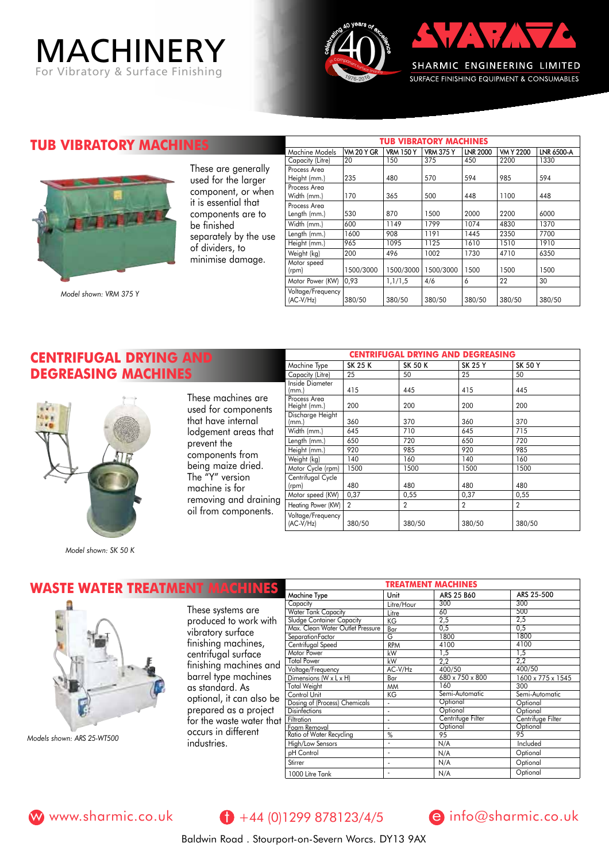# MACHINERY For Vibratory & Surface Finishing





**TUB VIBRATORY MACHINE** 



These are generally used for the larger component, or when it is essential that components are to be finished separately by the use of dividers, to minimise damage.

Machine Models **VM 20 Y GR VRM 150 Y | VRM 375 Y | LNR 2000 | VM Y 2200 | LNR 6500-A**<br>Capacity (Litre) 20 | 150 | 375 | 450 | 2200 | 1330 Capacity (Litre) Process Area  $Heigh (mm.)$  235 480 570 594 985 594 Process Area Width (mm.) 170 365 500 448 1100 448 Process Area Length (mm.) 530 870 1500 2000 2200 6000 Width (mm.) 600 1149 1799 1074 4830 1370 Length (mm.) 1600 908 1191 1445 2350 7700 Height (mm.) 965 1095 1125 1610 1510 1910<br>Weight (kg) 200 496 1002 1730 4710 6350 Weight (kg) Motor speed  $(\text{rem})$  1500/3000 1500/3000 1500/3000 1500 1500 1500 Motor Power (KW) 0,93 1,1/1,5 4/6 6 22 30 Voltage/Frequency<br>(AC-V/Hz) (AC-V/Hz) 380/50 380/50 380/50 380/50 380/50 380/50

## **CENTRIFUGAL DRYING AND DEGREASING MACHINES**



*Model shown: SK 50 K* 

These machines are used for components that have internal lodgement areas that prevent the components from being maize dried. The "Y" version machine is for removing and draining oil from components.

| <b>CENTRIFUGAL DRYING AND DEGREASING</b> |                |                |                |                |  |  |
|------------------------------------------|----------------|----------------|----------------|----------------|--|--|
| Machine Type                             | <b>SK 25 K</b> | <b>SK 50 K</b> | <b>SK 25 Y</b> | <b>SK 50 Y</b> |  |  |
| Capacity (Litre)                         | 25             | 50             | 25             | 50             |  |  |
| Inside Diameter<br>(mm.)                 | 415            | 445            | 415            | 445            |  |  |
| Process Area<br>Height (mm.)             | 200            | 200            | 200            | 200            |  |  |
| Discharge Height<br>(mm.)                | 360            | 370            | 360            | 370            |  |  |
| Width (mm.)                              | 645            | 710            | 645            | 715            |  |  |
| Length (mm.)                             | 650            | 720            | 650            | 720            |  |  |
| Height (mm.)                             | 920            | 985            | 920            | 985            |  |  |
| Weight (kg)                              | 140            | 160            | 140            | 160            |  |  |
| Motor Cycle (rpm)                        | 1500           | 1500           | 1500           | 1500           |  |  |
| Centrifugal Cycle<br>(rpm)               | 480            | 480            | 480            | 480            |  |  |
| Motor speed (KW)                         | 0,37           | 0,55           | 0,37           | 0,55           |  |  |
| Heating Power (KW)                       | $\mathcal{P}$  | $\overline{2}$ | $\mathcal{P}$  | $\overline{2}$ |  |  |
| Voltage/Frequency<br>$(AC-V/Hz)$         | 380/50         | 380/50         | 380/50         | 380/50         |  |  |

**TUB VIBRATORY MACHINES**

#### **WASTE WATER TREATMENT MACHINES** *Models shown: ARS 25-WT500* ARS 25 B60 Litre/Hour Litre KG Bar G RPM kW kW AC-V/Hz Bar MM KG - - -  $\frac{0}{6}$ Machine Type Capacity Water Tank Capacity Sludge Container Capacity Max. Clean Water Outlet Pressure Separation Factor Centrifugal Speed Motor Power Total Power Voltage/Frequency Dimensions (W x L x H) Total Weight Control Unit Dosing of (Process) Chemicals **Disinfections Filtration** Foam Removal Ratio of Water Recycling 300 60 2,5  $\frac{275}{0,5}$  $1800$ 4100 1,5 2,2 400/50  $\frac{188,88}{680 \times 750 \times 800}$ 160 Semi-Automatic **Optional Optional** Centrifuge Filter **Optiona** 95 These systems are produced to work with vibratory surface finishing machines, centrifugal surface finishing machines and barrel type machines as standard. As optional, it can also be prepared as a project for the waste water that occurs in different industries. ARS 25-500 300 500 2,5  $\frac{27}{0.5}$  $\frac{1800}{1800}$  $\frac{1}{4100}$ 1,5 2,2 400/50 1600 x 775 x 1545 300 Semi-Automatic Optional Optional Centrifuge Filter Optional % 95 High/Low Sensors pH Control Stirrer - - - N/A N/A N/A **Optional Optional** Included



www.sharmic.co.uk  $\theta$  +44 (0)1299 878123/4/5 e info@sharmic.co.uk

1000 Litre Tank

-

N/A



**Optional** 

Baldwin Road . Stourport-on-Severn Worcs. DY13 9AX